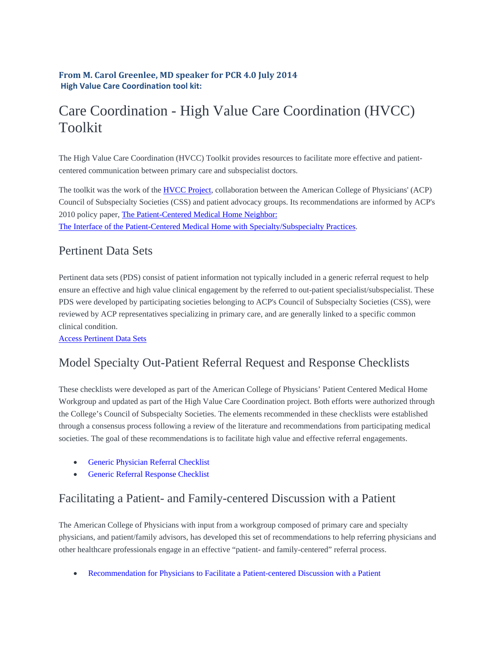#### **From M. Carol Greenlee, MD speaker for PCR 4.0 July 2014 High Value Care Coordination tool kit:**

# Care Coordination - High Value Care Coordination (HVCC) Toolkit

The High Value Care Coordination (HVCC) Toolkit provides resources to facilitate more effective and patientcentered communication between primary care and subspecialist doctors.

The toolkit was the work of the HVCC Project, collaboration between the American College of Physicians' (ACP) Council of Subspecialty Societies (CSS) and patient advocacy groups. Its recommendations are informed by ACP's 2010 policy paper, The Patient-Centered Medical Home Neighbor: The Interface of the Patient-Centered Medical Home with Specialty/Subspecialty Practices.

#### Pertinent Data Sets

Pertinent data sets (PDS) consist of patient information not typically included in a generic referral request to help ensure an effective and high value clinical engagement by the referred to out-patient specialist/subspecialist. These PDS were developed by participating societies belonging to ACP's Council of Subspecialty Societies (CSS), were reviewed by ACP representatives specializing in primary care, and are generally linked to a specific common clinical condition.

Access Pertinent Data Sets

## Model Specialty Out-Patient Referral Request and Response Checklists

These checklists were developed as part of the American College of Physicians' Patient Centered Medical Home Workgroup and updated as part of the High Value Care Coordination project. Both efforts were authorized through the College's Council of Subspecialty Societies. The elements recommended in these checklists were established through a consensus process following a review of the literature and recommendations from participating medical societies. The goal of these recommendations is to facilitate high value and effective referral engagements.

- **•** Generic Physician Referral Checklist
- Generic Referral Response Checklist

## Facilitating a Patient- and Family-centered Discussion with a Patient

The American College of Physicians with input from a workgroup composed of primary care and specialty physicians, and patient/family advisors, has developed this set of recommendations to help referring physicians and other healthcare professionals engage in an effective "patient- and family-centered" referral process.

Recommendation for Physicians to Facilitate a Patient-centered Discussion with a Patient